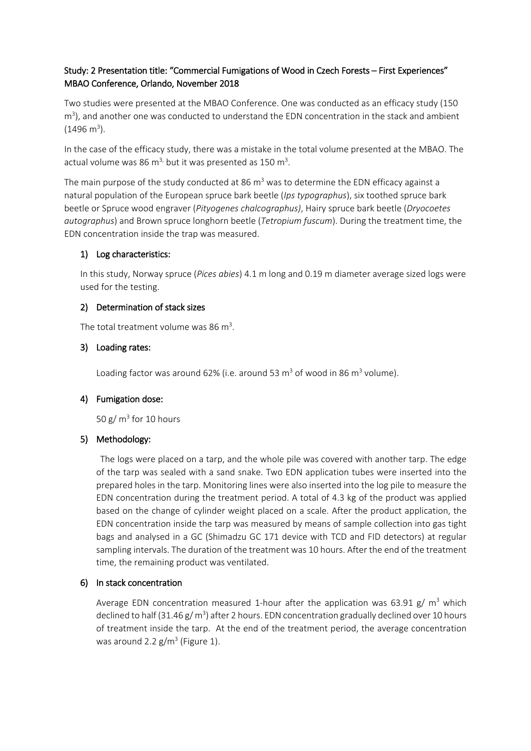# Study: 2 Presentation title: "Commercial Fumigations of Wood in Czech Forests – First Experiences" MBAO Conference, Orlando, November 2018

Two studies were presented at the MBAO Conference. One was conducted as an efficacy study (150 m<sup>3</sup>), and another one was conducted to understand the EDN concentration in the stack and ambient  $(1496 \text{ m}^3)$ .

In the case of the efficacy study, there was a mistake in the total volume presented at the MBAO. The actual volume was 86  $m<sup>3</sup>$ , but it was presented as 150  $m<sup>3</sup>$ .

The main purpose of the study conducted at 86  $m<sup>3</sup>$  was to determine the EDN efficacy against a natural population of the European spruce bark beetle (*Ips typographus*), six toothed spruce bark beetle or Spruce wood engraver (*Pityogenes chalcographus)*, Hairy spruce bark beetle (*Dryocoetes autographus*) and Brown spruce longhorn beetle (*Tetropium fuscum*). During the treatment time, the EDN concentration inside the trap was measured.

## 1) Log characteristics:

In this study, Norway spruce (*Pices abies*) 4.1 m long and 0.19 m diameter average sized logs were used for the testing.

### 2) Determination of stack sizes

The total treatment volume was 86 m<sup>3</sup>.

### 3) Loading rates:

Loading factor was around 62% (i.e. around 53  $\text{m}^3$  of wood in 86  $\text{m}^3$  volume).

### 4) Fumigation dose:

50 g/ $m<sup>3</sup>$  for 10 hours

#### 5) Methodology:

The logs were placed on a tarp, and the whole pile was covered with another tarp. The edge of the tarp was sealed with a sand snake. Two EDN application tubes were inserted into the prepared holes in the tarp. Monitoring lines were also inserted into the log pile to measure the EDN concentration during the treatment period. A total of 4.3 kg of the product was applied based on the change of cylinder weight placed on a scale. After the product application, the EDN concentration inside the tarp was measured by means of sample collection into gas tight bags and analysed in a GC (Shimadzu GC 171 device with TCD and FID detectors) at regular sampling intervals. The duration of the treatment was 10 hours. After the end of the treatment time, the remaining product was ventilated.

### 6) In stack concentration

Average EDN concentration measured 1-hour after the application was 63.91 g/  $m<sup>3</sup>$  which declined to half (31.46  $g/m<sup>3</sup>$ ) after 2 hours. EDN concentration gradually declined over 10 hours of treatment inside the tarp. At the end of the treatment period, the average concentration was around 2.2  $g/m^3$  (Figure 1).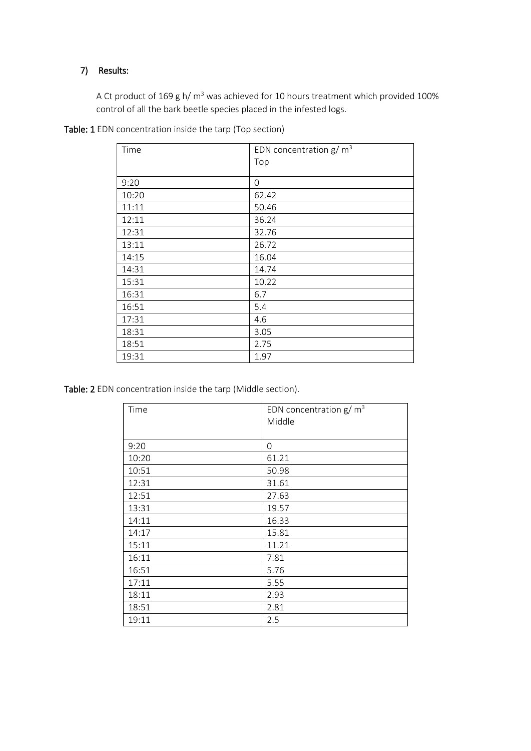#### 7) Results:

A Ct product of 169 g h/ m<sup>3</sup> was achieved for 10 hours treatment which provided 100% control of all the bark beetle species placed in the infested logs.

| Time  | EDN concentration $g/m^3$ |
|-------|---------------------------|
|       | Top                       |
|       |                           |
| 9:20  | $\Omega$                  |
| 10:20 | 62.42                     |
| 11:11 | 50.46                     |
| 12:11 | 36.24                     |
| 12:31 | 32.76                     |
| 13:11 | 26.72                     |
| 14:15 | 16.04                     |
| 14:31 | 14.74                     |
| 15:31 | 10.22                     |
| 16:31 | 6.7                       |
| 16:51 | 5.4                       |
| 17:31 | 4.6                       |
| 18:31 | 3.05                      |
| 18:51 | 2.75                      |
| 19:31 | 1.97                      |

Table: 2 EDN concentration inside the tarp (Middle section).

| Time  | EDN concentration $g/m^3$<br>Middle |
|-------|-------------------------------------|
|       |                                     |
| 9:20  | 0                                   |
| 10:20 | 61.21                               |
| 10:51 | 50.98                               |
| 12:31 | 31.61                               |
| 12:51 | 27.63                               |
| 13:31 | 19.57                               |
| 14:11 | 16.33                               |
| 14:17 | 15.81                               |
| 15:11 | 11.21                               |
| 16:11 | 7.81                                |
| 16:51 | 5.76                                |
| 17:11 | 5.55                                |
| 18:11 | 2.93                                |
| 18:51 | 2.81                                |
| 19:11 | 2.5                                 |